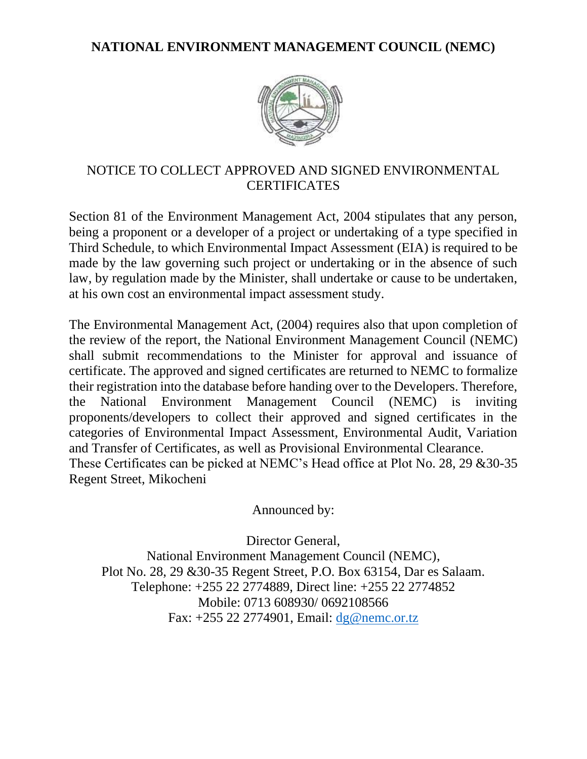**NATIONAL ENVIRONMENT MANAGEMENT COUNCIL (NEMC)**



## NOTICE TO COLLECT APPROVED AND SIGNED ENVIRONMENTAL **CERTIFICATES**

Section 81 of the Environment Management Act, 2004 stipulates that any person, being a proponent or a developer of a project or undertaking of a type specified in Third Schedule, to which Environmental Impact Assessment (EIA) is required to be made by the law governing such project or undertaking or in the absence of such law, by regulation made by the Minister, shall undertake or cause to be undertaken, at his own cost an environmental impact assessment study.

The Environmental Management Act, (2004) requires also that upon completion of the review of the report, the National Environment Management Council (NEMC) shall submit recommendations to the Minister for approval and issuance of certificate. The approved and signed certificates are returned to NEMC to formalize their registration into the database before handing over to the Developers. Therefore, the National Environment Management Council (NEMC) is inviting proponents/developers to collect their approved and signed certificates in the categories of Environmental Impact Assessment, Environmental Audit, Variation and Transfer of Certificates, as well as Provisional Environmental Clearance. These Certificates can be picked at NEMC's Head office at Plot No. 28, 29 &30-35 Regent Street, Mikocheni

Announced by:

Director General, National Environment Management Council (NEMC), Plot No. 28, 29 &30-35 Regent Street, P.O. Box 63154, Dar es Salaam. Telephone: +255 22 2774889, Direct line: +255 22 2774852 Mobile: 0713 608930/ 0692108566 Fax: +255 22 2774901, Email: [dg@nemc.or.tz](mailto:dg@nemc.or.tz)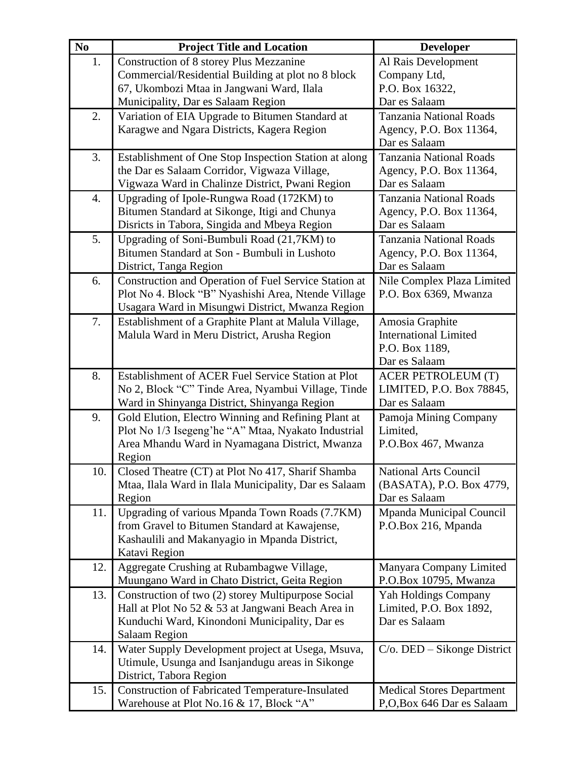| $\mathbf{N}\mathbf{0}$ | <b>Project Title and Location</b>                       | <b>Developer</b>                 |
|------------------------|---------------------------------------------------------|----------------------------------|
| 1.                     | Construction of 8 storey Plus Mezzanine                 | Al Rais Development              |
|                        | Commercial/Residential Building at plot no 8 block      | Company Ltd,                     |
|                        | 67, Ukombozi Mtaa in Jangwani Ward, Ilala               | P.O. Box 16322,                  |
|                        | Municipality, Dar es Salaam Region                      | Dar es Salaam                    |
| 2.                     | Variation of EIA Upgrade to Bitumen Standard at         | <b>Tanzania National Roads</b>   |
|                        | Karagwe and Ngara Districts, Kagera Region              | Agency, P.O. Box 11364,          |
|                        |                                                         | Dar es Salaam                    |
| 3.                     | Establishment of One Stop Inspection Station at along   | <b>Tanzania National Roads</b>   |
|                        | the Dar es Salaam Corridor, Vigwaza Village,            | Agency, P.O. Box 11364,          |
|                        | Vigwaza Ward in Chalinze District, Pwani Region         | Dar es Salaam                    |
| 4.                     | Upgrading of Ipole-Rungwa Road (172KM) to               | <b>Tanzania National Roads</b>   |
|                        | Bitumen Standard at Sikonge, Itigi and Chunya           | Agency, P.O. Box 11364,          |
|                        | Disricts in Tabora, Singida and Mbeya Region            | Dar es Salaam                    |
| 5.                     | Upgrading of Soni-Bumbuli Road (21,7KM) to              | Tanzania National Roads          |
|                        | Bitumen Standard at Son - Bumbuli in Lushoto            | Agency, P.O. Box 11364,          |
|                        | District, Tanga Region                                  | Dar es Salaam                    |
| 6.                     | Construction and Operation of Fuel Service Station at   | Nile Complex Plaza Limited       |
|                        | Plot No 4. Block "B" Nyashishi Area, Ntende Village     | P.O. Box 6369, Mwanza            |
|                        | Usagara Ward in Misungwi District, Mwanza Region        |                                  |
| 7.                     | Establishment of a Graphite Plant at Malula Village,    | Amosia Graphite                  |
|                        | Malula Ward in Meru District, Arusha Region             | <b>International Limited</b>     |
|                        |                                                         | P.O. Box 1189,                   |
|                        |                                                         | Dar es Salaam                    |
| 8.                     | Establishment of ACER Fuel Service Station at Plot      | <b>ACER PETROLEUM (T)</b>        |
|                        | No 2, Block "C" Tinde Area, Nyambui Village, Tinde      | LIMITED, P.O. Box 78845,         |
|                        | Ward in Shinyanga District, Shinyanga Region            | Dar es Salaam                    |
| 9.                     | Gold Elution, Electro Winning and Refining Plant at     | Pamoja Mining Company            |
|                        | Plot No 1/3 Isegeng'he "A" Mtaa, Nyakato Industrial     | Limited,                         |
|                        | Area Mhandu Ward in Nyamagana District, Mwanza          | P.O.Box 467, Mwanza              |
|                        | Region                                                  |                                  |
| 10.                    | Closed Theatre (CT) at Plot No 417, Sharif Shamba       | <b>National Arts Council</b>     |
|                        | Mtaa, Ilala Ward in Ilala Municipality, Dar es Salaam   | (BASATA), P.O. Box 4779,         |
|                        | Region                                                  | Dar es Salaam                    |
| 11.                    | Upgrading of various Mpanda Town Roads (7.7KM)          | Mpanda Municipal Council         |
|                        | from Gravel to Bitumen Standard at Kawajense,           | P.O.Box 216, Mpanda              |
|                        | Kashaulili and Makanyagio in Mpanda District,           |                                  |
|                        | Katavi Region                                           |                                  |
| 12.                    | Aggregate Crushing at Rubambagwe Village,               | Manyara Company Limited          |
|                        | Muungano Ward in Chato District, Geita Region           | P.O.Box 10795, Mwanza            |
| 13.                    | Construction of two (2) storey Multipurpose Social      | Yah Holdings Company             |
|                        | Hall at Plot No 52 & 53 at Jangwani Beach Area in       | Limited, P.O. Box 1892,          |
|                        | Kunduchi Ward, Kinondoni Municipality, Dar es           | Dar es Salaam                    |
|                        | <b>Salaam Region</b>                                    |                                  |
| 14.                    | Water Supply Development project at Usega, Msuva,       | $C/O$ . DED – Sikonge District   |
|                        | Utimule, Usunga and Isanjandugu areas in Sikonge        |                                  |
|                        | District, Tabora Region                                 |                                  |
| 15.                    | <b>Construction of Fabricated Temperature-Insulated</b> | <b>Medical Stores Department</b> |
|                        | Warehouse at Plot No.16 & 17, Block "A"                 | P,O,Box 646 Dar es Salaam        |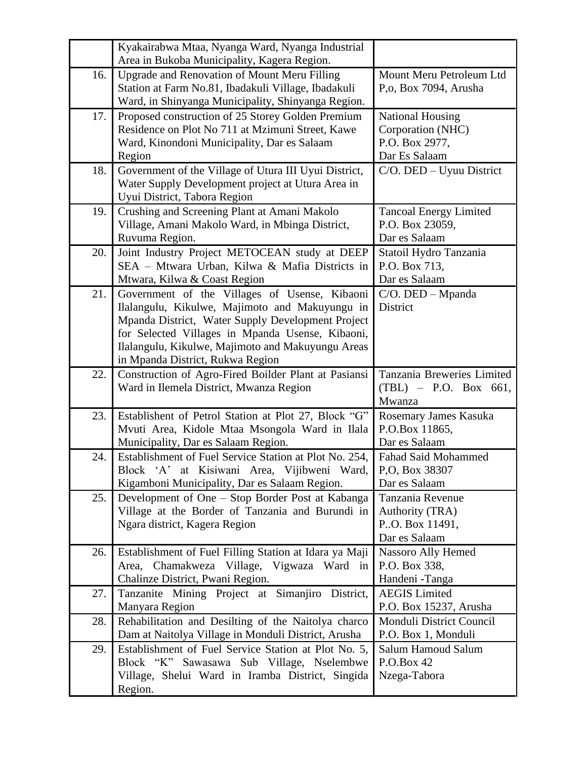|     | Kyakairabwa Mtaa, Nyanga Ward, Nyanga Industrial                                    |                                         |
|-----|-------------------------------------------------------------------------------------|-----------------------------------------|
|     | Area in Bukoba Municipality, Kagera Region.                                         |                                         |
| 16. | Upgrade and Renovation of Mount Meru Filling                                        | Mount Meru Petroleum Ltd                |
|     | Station at Farm No.81, Ibadakuli Village, Ibadakuli                                 | P,o, Box 7094, Arusha                   |
|     | Ward, in Shinyanga Municipality, Shinyanga Region.                                  |                                         |
| 17. | Proposed construction of 25 Storey Golden Premium                                   | <b>National Housing</b>                 |
|     | Residence on Plot No 711 at Mzimuni Street, Kawe                                    | Corporation (NHC)                       |
|     | Ward, Kinondoni Municipality, Dar es Salaam                                         | P.O. Box 2977,                          |
|     | Region                                                                              | Dar Es Salaam                           |
| 18. | Government of the Village of Utura III Uyui District,                               | C/O. DED - Uyuu District                |
|     | Water Supply Development project at Utura Area in<br>Uyui District, Tabora Region   |                                         |
| 19. | Crushing and Screening Plant at Amani Makolo                                        | <b>Tancoal Energy Limited</b>           |
|     | Village, Amani Makolo Ward, in Mbinga District,                                     | P.O. Box 23059,                         |
|     | Ruvuma Region.                                                                      | Dar es Salaam                           |
| 20. | Joint Industry Project METOCEAN study at DEEP                                       | Statoil Hydro Tanzania                  |
|     | SEA - Mtwara Urban, Kilwa & Mafia Districts in                                      | P.O. Box 713,                           |
|     | Mtwara, Kilwa & Coast Region                                                        | Dar es Salaam                           |
| 21. | Government of the Villages of Usense, Kibaoni                                       | $C/O$ . DED – Mpanda                    |
|     | Ilalangulu, Kikulwe, Majimoto and Makuyungu in                                      | District                                |
|     | Mpanda District, Water Supply Development Project                                   |                                         |
|     | for Selected Villages in Mpanda Usense, Kibaoni,                                    |                                         |
|     | Ilalangulu, Kikulwe, Majimoto and Makuyungu Areas                                   |                                         |
|     | in Mpanda District, Rukwa Region                                                    |                                         |
|     |                                                                                     |                                         |
| 22. | Construction of Agro-Fired Boilder Plant at Pasiansi                                | Tanzania Breweries Limited              |
|     | Ward in Ilemela District, Mwanza Region                                             | $(TBL) - P.O. Box 661,$                 |
|     |                                                                                     | Mwanza                                  |
| 23. | Establishent of Petrol Station at Plot 27, Block "G"                                | Rosemary James Kasuka                   |
|     | Mvuti Area, Kidole Mtaa Msongola Ward in Ilala                                      | P.O.Box 11865,                          |
|     | Municipality, Dar es Salaam Region.                                                 | Dar es Salaam                           |
| 24. | Establishment of Fuel Service Station at Plot No. 254,                              | <b>Fahad Said Mohammed</b>              |
|     | Block 'A' at Kisiwani Area, Vijibweni Ward,                                         | P,O, Box 38307                          |
|     | Kigamboni Municipality, Dar es Salaam Region.                                       | Dar es Salaam                           |
| 25. | Development of One – Stop Border Post at Kabanga                                    | Tanzania Revenue                        |
|     | Village at the Border of Tanzania and Burundi in                                    | Authority (TRA)                         |
|     | Ngara district, Kagera Region                                                       | P.O. Box 11491,                         |
|     |                                                                                     | Dar es Salaam                           |
| 26. | Establishment of Fuel Filling Station at Idara ya Maji                              | Nassoro Ally Hemed                      |
|     | Area, Chamakweza Village, Vigwaza Ward in                                           | P.O. Box 338,                           |
| 27. | Chalinze District, Pwani Region.<br>Tanzanite Mining Project at Simanjiro District, | Handeni - Tanga<br><b>AEGIS</b> Limited |
|     | Manyara Region                                                                      | P.O. Box 15237, Arusha                  |
| 28. | Rehabilitation and Desilting of the Naitolya charco                                 | <b>Monduli District Council</b>         |
|     | Dam at Naitolya Village in Monduli District, Arusha                                 | P.O. Box 1, Monduli                     |
| 29. | Establishment of Fuel Service Station at Plot No. 5,                                | <b>Salum Hamoud Salum</b>               |
|     | Block "K" Sawasawa Sub Village, Nselembwe                                           | P.O.Box 42                              |
|     | Village, Shelui Ward in Iramba District, Singida                                    | Nzega-Tabora                            |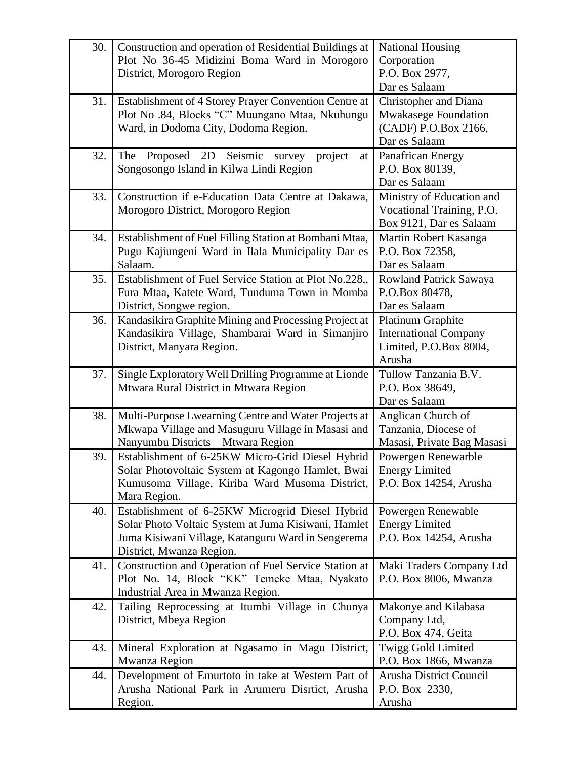| 30. | Construction and operation of Residential Buildings at<br>Plot No 36-45 Midizini Boma Ward in Morogoro<br>District, Morogoro Region                                                      | <b>National Housing</b><br>Corporation<br>P.O. Box 2977,<br>Dar es Salaam                            |
|-----|------------------------------------------------------------------------------------------------------------------------------------------------------------------------------------------|------------------------------------------------------------------------------------------------------|
| 31. | Establishment of 4 Storey Prayer Convention Centre at<br>Plot No.84, Blocks "C" Muungano Mtaa, Nkuhungu<br>Ward, in Dodoma City, Dodoma Region.                                          | <b>Christopher and Diana</b><br><b>Mwakasege Foundation</b><br>(CADF) P.O.Box 2166,<br>Dar es Salaam |
| 32. | 2D<br>Seismic<br>The<br>Proposed<br>project<br>survey<br>at<br>Songosongo Island in Kilwa Lindi Region                                                                                   | Panafrican Energy<br>P.O. Box 80139,<br>Dar es Salaam                                                |
| 33. | Construction if e-Education Data Centre at Dakawa,<br>Morogoro District, Morogoro Region                                                                                                 | Ministry of Education and<br>Vocational Training, P.O.<br>Box 9121, Dar es Salaam                    |
| 34. | Establishment of Fuel Filling Station at Bombani Mtaa,<br>Pugu Kajiungeni Ward in Ilala Municipality Dar es<br>Salaam.                                                                   | Martin Robert Kasanga<br>P.O. Box 72358,<br>Dar es Salaam                                            |
| 35. | Establishment of Fuel Service Station at Plot No.228,,<br>Fura Mtaa, Katete Ward, Tunduma Town in Momba<br>District, Songwe region.                                                      | Rowland Patrick Sawaya<br>P.O.Box 80478,<br>Dar es Salaam                                            |
| 36. | Kandasikira Graphite Mining and Processing Project at<br>Kandasikira Village, Shambarai Ward in Simanjiro<br>District, Manyara Region.                                                   | <b>Platinum Graphite</b><br><b>International Company</b><br>Limited, P.O.Box 8004,<br>Arusha         |
| 37. | Single Exploratory Well Drilling Programme at Lionde<br>Mtwara Rural District in Mtwara Region                                                                                           | Tullow Tanzania B.V.<br>P.O. Box 38649,<br>Dar es Salaam                                             |
| 38. | Multi-Purpose Lwearning Centre and Water Projects at<br>Mkwapa Village and Masuguru Village in Masasi and<br>Nanyumbu Districts - Mtwara Region                                          | Anglican Church of<br>Tanzania, Diocese of<br>Masasi, Private Bag Masasi                             |
| 39. | Establishment of 6-25KW Micro-Grid Diesel Hybrid<br>Solar Photovoltaic System at Kagongo Hamlet, Bwai<br>Kumusoma Village, Kiriba Ward Musoma District,<br>Mara Region.                  | Powergen Renewarble<br><b>Energy Limited</b><br>P.O. Box 14254, Arusha                               |
| 40. | Establishment of 6-25KW Microgrid Diesel Hybrid<br>Solar Photo Voltaic System at Juma Kisiwani, Hamlet<br>Juma Kisiwani Village, Katanguru Ward in Sengerema<br>District, Mwanza Region. | Powergen Renewable<br><b>Energy Limited</b><br>P.O. Box 14254, Arusha                                |
| 41. | Construction and Operation of Fuel Service Station at<br>Plot No. 14, Block "KK" Temeke Mtaa, Nyakato<br>Industrial Area in Mwanza Region.                                               | Maki Traders Company Ltd<br>P.O. Box 8006, Mwanza                                                    |
| 42. | Tailing Reprocessing at Itumbi Village in Chunya<br>District, Mbeya Region                                                                                                               | Makonye and Kilabasa<br>Company Ltd,<br>P.O. Box 474, Geita                                          |
| 43. | Mineral Exploration at Ngasamo in Magu District,<br>Mwanza Region                                                                                                                        | Twigg Gold Limited<br>P.O. Box 1866, Mwanza                                                          |
| 44. | Development of Emurtoto in take at Western Part of<br>Arusha National Park in Arumeru Disrtict, Arusha<br>Region.                                                                        | Arusha District Council<br>P.O. Box 2330,<br>Arusha                                                  |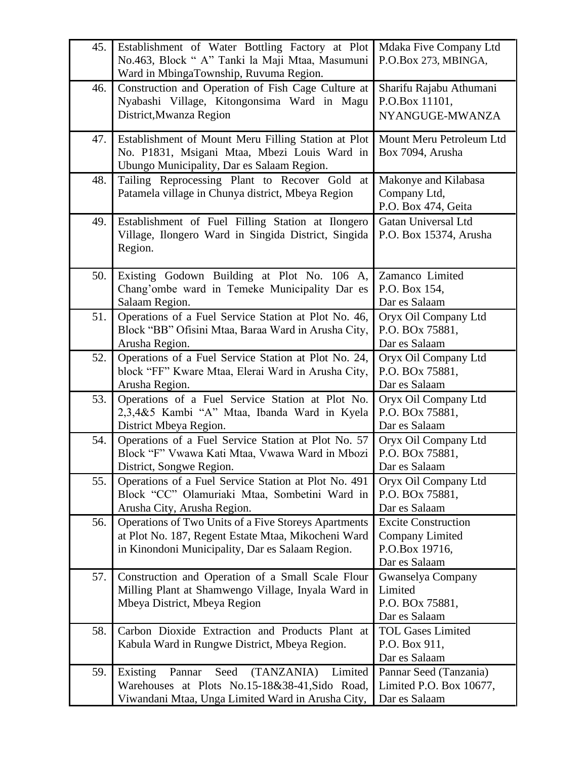| 45. | Establishment of Water Bottling Factory at Plot<br>No.463, Block " A" Tanki la Maji Mtaa, Masumuni<br>Ward in MbingaTownship, Ruvuma Region.                    | Mdaka Five Company Ltd<br>P.O.Box 273, MBINGA,                                          |
|-----|-----------------------------------------------------------------------------------------------------------------------------------------------------------------|-----------------------------------------------------------------------------------------|
| 46. | Construction and Operation of Fish Cage Culture at<br>Nyabashi Village, Kitongonsima Ward in Magu<br>District, Mwanza Region                                    | Sharifu Rajabu Athumani<br>P.O.Box 11101,<br>NYANGUGE-MWANZA                            |
| 47. | Establishment of Mount Meru Filling Station at Plot<br>No. P1831, Msigani Mtaa, Mbezi Louis Ward in<br>Ubungo Municipality, Dar es Salaam Region.               | Mount Meru Petroleum Ltd<br>Box 7094, Arusha                                            |
| 48. | Tailing Reprocessing Plant to Recover Gold at<br>Patamela village in Chunya district, Mbeya Region                                                              | Makonye and Kilabasa<br>Company Ltd,<br>P.O. Box 474, Geita                             |
| 49. | Establishment of Fuel Filling Station at Ilongero<br>Village, Ilongero Ward in Singida District, Singida<br>Region.                                             | Gatan Universal Ltd<br>P.O. Box 15374, Arusha                                           |
| 50. | Existing Godown Building at Plot No. 106 A,<br>Chang'ombe ward in Temeke Municipality Dar es<br>Salaam Region.                                                  | Zamanco Limited<br>P.O. Box 154,<br>Dar es Salaam                                       |
| 51. | Operations of a Fuel Service Station at Plot No. 46,<br>Block "BB" Ofisini Mtaa, Baraa Ward in Arusha City,<br>Arusha Region.                                   | Oryx Oil Company Ltd<br>P.O. BOx 75881,<br>Dar es Salaam                                |
| 52. | Operations of a Fuel Service Station at Plot No. 24,<br>block "FF" Kware Mtaa, Elerai Ward in Arusha City,<br>Arusha Region.                                    | Oryx Oil Company Ltd<br>P.O. BOx 75881,<br>Dar es Salaam                                |
| 53. | Operations of a Fuel Service Station at Plot No.<br>2,3,4&5 Kambi "A" Mtaa, Ibanda Ward in Kyela<br>District Mbeya Region.                                      | Oryx Oil Company Ltd<br>P.O. BOx 75881,<br>Dar es Salaam                                |
| 54. | Operations of a Fuel Service Station at Plot No. 57<br>Block "F" Vwawa Kati Mtaa, Vwawa Ward in Mbozi<br>District, Songwe Region.                               | Oryx Oil Company Ltd<br>P.O. BOx 75881,<br>Dar es Salaam                                |
| 55. | Operations of a Fuel Service Station at Plot No. 491<br>Block "CC" Olamuriaki Mtaa, Sombetini Ward in<br>Arusha City, Arusha Region.                            | Oryx Oil Company Ltd<br>P.O. BOx 75881,<br>Dar es Salaam                                |
| 56. | Operations of Two Units of a Five Storeys Apartments<br>at Plot No. 187, Regent Estate Mtaa, Mikocheni Ward<br>in Kinondoni Municipality, Dar es Salaam Region. | <b>Excite Construction</b><br><b>Company Limited</b><br>P.O.Box 19716,<br>Dar es Salaam |
| 57. | Construction and Operation of a Small Scale Flour<br>Milling Plant at Shamwengo Village, Inyala Ward in<br>Mbeya District, Mbeya Region                         | Gwanselya Company<br>Limited<br>P.O. BOx 75881,<br>Dar es Salaam                        |
| 58. | Carbon Dioxide Extraction and Products Plant at<br>Kabula Ward in Rungwe District, Mbeya Region.                                                                | <b>TOL Gases Limited</b><br>P.O. Box 911,<br>Dar es Salaam                              |
| 59. | Pannar<br>Seed<br>(TANZANIA)<br>Limited<br>Existing<br>Warehouses at Plots No.15-18&38-41, Sido Road,<br>Viwandani Mtaa, Unga Limited Ward in Arusha City,      | Pannar Seed (Tanzania)<br>Limited P.O. Box 10677,<br>Dar es Salaam                      |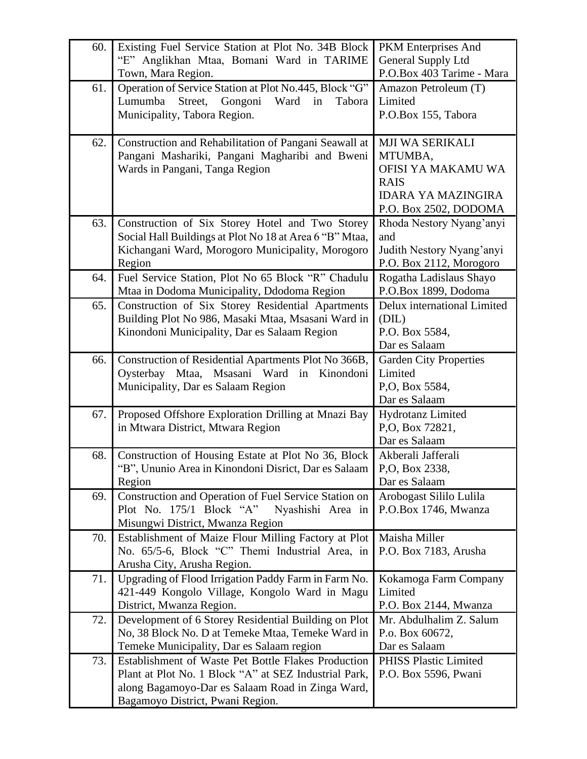| 60. | Existing Fuel Service Station at Plot No. 34B Block<br>"E" Anglikhan Mtaa, Bomani Ward in TARIME           | PKM Enterprises And<br><b>General Supply Ltd</b> |
|-----|------------------------------------------------------------------------------------------------------------|--------------------------------------------------|
|     | Town, Mara Region.                                                                                         | P.O.Box 403 Tarime - Mara                        |
| 61. | Operation of Service Station at Plot No.445, Block "G"                                                     | Amazon Petroleum (T)                             |
|     | Street, Gongoni<br>Lumumba<br>Ward<br>in<br>Tabora                                                         | Limited                                          |
|     | Municipality, Tabora Region.                                                                               | P.O.Box 155, Tabora                              |
| 62. | Construction and Rehabilitation of Pangani Seawall at                                                      | MJI WA SERIKALI                                  |
|     | Pangani Mashariki, Pangani Magharibi and Bweni                                                             | MTUMBA,                                          |
|     | Wards in Pangani, Tanga Region                                                                             | OFISI YA MAKAMU WA                               |
|     |                                                                                                            | <b>RAIS</b>                                      |
|     |                                                                                                            | <b>IDARA YA MAZINGIRA</b>                        |
|     |                                                                                                            | P.O. Box 2502, DODOMA                            |
| 63. | Construction of Six Storey Hotel and Two Storey<br>Social Hall Buildings at Plot No 18 at Area 6 "B" Mtaa, | Rhoda Nestory Nyang'anyi<br>and                  |
|     | Kichangani Ward, Morogoro Municipality, Morogoro                                                           | Judith Nestory Nyang'anyi                        |
|     | Region                                                                                                     | P.O. Box 2112, Morogoro                          |
| 64. | Fuel Service Station, Plot No 65 Block "R" Chadulu                                                         | Rogatha Ladislaus Shayo                          |
|     | Mtaa in Dodoma Municipality, Ddodoma Region                                                                | P.O.Box 1899, Dodoma                             |
| 65. | Construction of Six Storey Residential Apartments                                                          | Delux international Limited                      |
|     | Building Plot No 986, Masaki Mtaa, Msasani Ward in                                                         | (DIL)                                            |
|     | Kinondoni Municipality, Dar es Salaam Region                                                               | P.O. Box 5584,                                   |
|     |                                                                                                            | Dar es Salaam                                    |
| 66. | Construction of Residential Apartments Plot No 366B,                                                       | <b>Garden City Properties</b>                    |
|     | Msasani<br>Ward<br>Oysterbay<br>Mtaa,<br>Kinondoni<br>in<br>Municipality, Dar es Salaam Region             | Limited<br>P,O, Box 5584,                        |
|     |                                                                                                            | Dar es Salaam                                    |
| 67. | Proposed Offshore Exploration Drilling at Mnazi Bay                                                        | <b>Hydrotanz Limited</b>                         |
|     | in Mtwara District, Mtwara Region                                                                          | P,O, Box 72821,                                  |
|     |                                                                                                            | Dar es Salaam                                    |
| 68. | Construction of Housing Estate at Plot No 36, Block                                                        | Akberali Jafferali                               |
|     | "B", Ununio Area in Kinondoni Disrict, Dar es Salaam                                                       | P,O, Box 2338,                                   |
|     | Region                                                                                                     | Dar es Salaam                                    |
| 69. | Construction and Operation of Fuel Service Station on                                                      | Arobogast Sililo Lulila                          |
|     | Plot No. 175/1 Block "A"<br>Nyashishi Area in                                                              | P.O.Box 1746, Mwanza                             |
| 70. | Misungwi District, Mwanza Region<br>Establishment of Maize Flour Milling Factory at Plot                   | Maisha Miller                                    |
|     | No. 65/5-6, Block "C" Themi Industrial Area, in                                                            | P.O. Box 7183, Arusha                            |
|     | Arusha City, Arusha Region.                                                                                |                                                  |
| 71. | Upgrading of Flood Irrigation Paddy Farm in Farm No.                                                       | Kokamoga Farm Company                            |
|     | 421-449 Kongolo Village, Kongolo Ward in Magu                                                              | Limited                                          |
|     | District, Mwanza Region.                                                                                   | P.O. Box 2144, Mwanza                            |
| 72. | Development of 6 Storey Residential Building on Plot                                                       | Mr. Abdulhalim Z. Salum                          |
|     | No, 38 Block No. D at Temeke Mtaa, Temeke Ward in                                                          | P.o. Box 60672,                                  |
|     | Temeke Municipality, Dar es Salaam region                                                                  | Dar es Salaam                                    |
| 73. | Establishment of Waste Pet Bottle Flakes Production                                                        | <b>PHISS Plastic Limited</b>                     |
|     | Plant at Plot No. 1 Block "A" at SEZ Industrial Park,                                                      | P.O. Box 5596, Pwani                             |
|     | along Bagamoyo-Dar es Salaam Road in Zinga Ward,                                                           |                                                  |
|     | Bagamoyo District, Pwani Region.                                                                           |                                                  |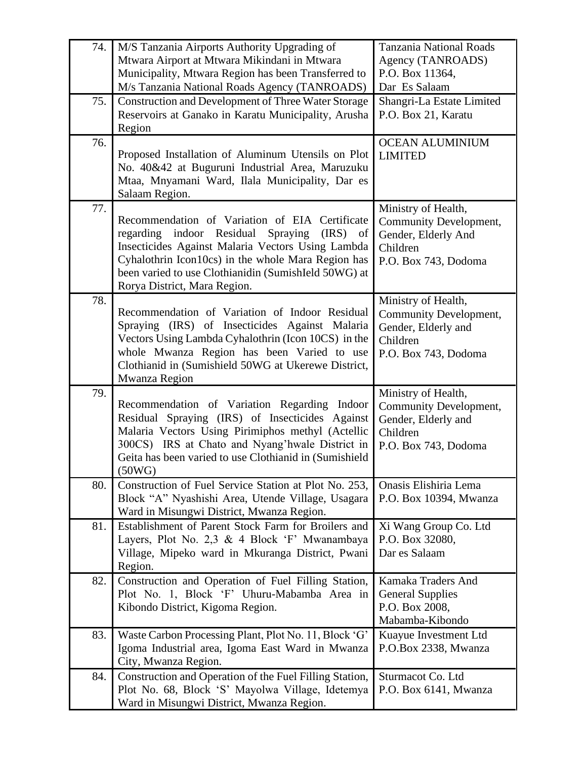| 74. | M/S Tanzania Airports Authority Upgrading of<br>Mtwara Airport at Mtwara Mikindani in Mtwara                                                                                                                                                                                                          | <b>Tanzania National Roads</b><br>Agency (TANROADS)                                                      |
|-----|-------------------------------------------------------------------------------------------------------------------------------------------------------------------------------------------------------------------------------------------------------------------------------------------------------|----------------------------------------------------------------------------------------------------------|
|     | Municipality, Mtwara Region has been Transferred to<br>M/s Tanzania National Roads Agency (TANROADS)                                                                                                                                                                                                  | P.O. Box 11364,<br>Dar Es Salaam                                                                         |
| 75. | <b>Construction and Development of Three Water Storage</b><br>Reservoirs at Ganako in Karatu Municipality, Arusha<br>Region                                                                                                                                                                           | Shangri-La Estate Limited<br>P.O. Box 21, Karatu                                                         |
| 76. | Proposed Installation of Aluminum Utensils on Plot<br>No. 40&42 at Buguruni Industrial Area, Maruzuku<br>Mtaa, Mnyamani Ward, Ilala Municipality, Dar es<br>Salaam Region.                                                                                                                            | <b>OCEAN ALUMINIUM</b><br><b>LIMITED</b>                                                                 |
| 77. | Recommendation of Variation of EIA Certificate<br>regarding indoor Residual Spraying<br>$(IRS)$ of<br>Insecticides Against Malaria Vectors Using Lambda<br>Cyhalothrin Icon10cs) in the whole Mara Region has<br>been varied to use Clothianidin (SumishIeld 50WG) at<br>Rorya District, Mara Region. | Ministry of Health,<br>Community Development,<br>Gender, Elderly And<br>Children<br>P.O. Box 743, Dodoma |
| 78. | Recommendation of Variation of Indoor Residual<br>Spraying (IRS) of Insecticides Against Malaria<br>Vectors Using Lambda Cyhalothrin (Icon 10CS) in the<br>whole Mwanza Region has been Varied to use<br>Clothianid in (Sumishield 50WG at Ukerewe District,<br>Mwanza Region                         | Ministry of Health,<br>Community Development,<br>Gender, Elderly and<br>Children<br>P.O. Box 743, Dodoma |
| 79. | Recommendation of Variation Regarding Indoor<br>Residual Spraying (IRS) of Insecticides Against<br>Malaria Vectors Using Pirimiphos methyl (Actellic<br>300CS) IRS at Chato and Nyang'hwale District in<br>Geita has been varied to use Clothianid in (Sumishield<br>(50WG)                           | Ministry of Health,<br>Community Development,<br>Gender, Elderly and<br>Children<br>P.O. Box 743, Dodoma |
| 80. | Construction of Fuel Service Station at Plot No. 253,<br>Block "A" Nyashishi Area, Utende Village, Usagara<br>Ward in Misungwi District, Mwanza Region.                                                                                                                                               | Onasis Elishiria Lema<br>P.O. Box 10394, Mwanza                                                          |
| 81. | Establishment of Parent Stock Farm for Broilers and<br>Layers, Plot No. 2,3 & 4 Block 'F' Mwanambaya<br>Village, Mipeko ward in Mkuranga District, Pwani<br>Region.                                                                                                                                   | Xi Wang Group Co. Ltd<br>P.O. Box 32080,<br>Dar es Salaam                                                |
| 82. | Construction and Operation of Fuel Filling Station,<br>Plot No. 1, Block 'F' Uhuru-Mabamba Area in<br>Kibondo District, Kigoma Region.                                                                                                                                                                | Kamaka Traders And<br><b>General Supplies</b><br>P.O. Box 2008,<br>Mabamba-Kibondo                       |
| 83. | Waste Carbon Processing Plant, Plot No. 11, Block 'G'<br>Igoma Industrial area, Igoma East Ward in Mwanza<br>City, Mwanza Region.                                                                                                                                                                     | Kuayue Investment Ltd<br>P.O.Box 2338, Mwanza                                                            |
| 84. | Construction and Operation of the Fuel Filling Station,<br>Plot No. 68, Block 'S' Mayolwa Village, Idetemya<br>Ward in Misungwi District, Mwanza Region.                                                                                                                                              | Sturmacot Co. Ltd<br>P.O. Box 6141, Mwanza                                                               |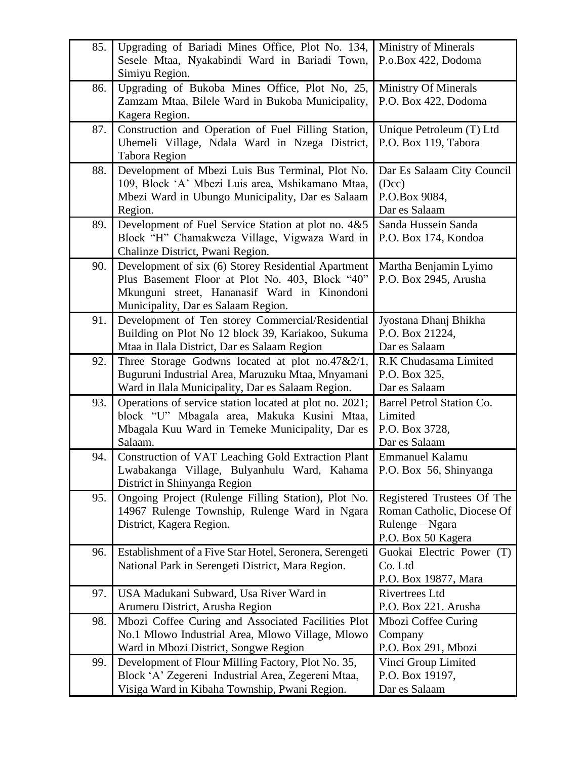| 85. | Upgrading of Bariadi Mines Office, Plot No. 134,        | <b>Ministry of Minerals</b>                   |
|-----|---------------------------------------------------------|-----------------------------------------------|
|     | Sesele Mtaa, Nyakabindi Ward in Bariadi Town,           | P.o.Box 422, Dodoma                           |
|     | Simiyu Region.                                          |                                               |
| 86. | Upgrading of Bukoba Mines Office, Plot No, 25,          | <b>Ministry Of Minerals</b>                   |
|     | Zamzam Mtaa, Bilele Ward in Bukoba Municipality,        | P.O. Box 422, Dodoma                          |
|     | Kagera Region.                                          |                                               |
| 87. | Construction and Operation of Fuel Filling Station,     | Unique Petroleum (T) Ltd                      |
|     | Uhemeli Village, Ndala Ward in Nzega District,          | P.O. Box 119, Tabora                          |
|     | <b>Tabora Region</b>                                    |                                               |
| 88. | Development of Mbezi Luis Bus Terminal, Plot No.        | Dar Es Salaam City Council                    |
|     | 109, Block 'A' Mbezi Luis area, Mshikamano Mtaa,        | (Dcc)                                         |
|     | Mbezi Ward in Ubungo Municipality, Dar es Salaam        | P.O.Box 9084,                                 |
|     | Region.                                                 | Dar es Salaam                                 |
| 89. | Development of Fuel Service Station at plot no. 4&5     | Sanda Hussein Sanda                           |
|     | Block "H" Chamakweza Village, Vigwaza Ward in           | P.O. Box 174, Kondoa                          |
|     | Chalinze District, Pwani Region.                        |                                               |
| 90. | Development of six (6) Storey Residential Apartment     | Martha Benjamin Lyimo                         |
|     | Plus Basement Floor at Plot No. 403, Block "40"         | P.O. Box 2945, Arusha                         |
|     | Mkunguni street, Hananasif Ward in Kinondoni            |                                               |
|     | Municipality, Dar es Salaam Region.                     |                                               |
| 91. | Development of Ten storey Commercial/Residential        | Jyostana Dhanj Bhikha                         |
|     | Building on Plot No 12 block 39, Kariakoo, Sukuma       | P.O. Box 21224,                               |
|     | Mtaa in Ilala District, Dar es Salaam Region            | Dar es Salaam                                 |
| 92. | Three Storage Godwns located at plot no.47 $&2/1$ ,     | R.K Chudasama Limited                         |
|     | Buguruni Industrial Area, Maruzuku Mtaa, Mnyamani       | P.O. Box 325,                                 |
|     | Ward in Ilala Municipality, Dar es Salaam Region.       | Dar es Salaam                                 |
| 93. | Operations of service station located at plot no. 2021; | Barrel Petrol Station Co.                     |
|     | block "U" Mbagala area, Makuka Kusini Mtaa,             | Limited                                       |
|     | Mbagala Kuu Ward in Temeke Municipality, Dar es         | P.O. Box 3728,                                |
|     | Salaam.                                                 | Dar es Salaam                                 |
| 94. | Construction of VAT Leaching Gold Extraction Plant      | Emmanuel Kalamu                               |
|     | Lwabakanga Village, Bulyanhulu Ward, Kahama             | P.O. Box 56, Shinyanga                        |
|     | District in Shinyanga Region                            |                                               |
| 95. | Ongoing Project (Rulenge Filling Station), Plot No.     | Registered Trustees Of The                    |
|     | 14967 Rulenge Township, Rulenge Ward in Ngara           | Roman Catholic, Diocese Of                    |
|     | District, Kagera Region.                                | Rulenge – Ngara                               |
|     |                                                         | P.O. Box 50 Kagera                            |
| 96. | Establishment of a Five Star Hotel, Seronera, Serengeti | Guokai Electric Power (T)                     |
|     | National Park in Serengeti District, Mara Region.       | Co. Ltd                                       |
|     |                                                         | P.O. Box 19877, Mara                          |
| 97. | USA Madukani Subward, Usa River Ward in                 | <b>Rivertrees Ltd</b><br>P.O. Box 221. Arusha |
|     | Arumeru District, Arusha Region                         |                                               |
| 98. | Mbozi Coffee Curing and Associated Facilities Plot      | Mbozi Coffee Curing                           |
|     | No.1 Mlowo Industrial Area, Mlowo Village, Mlowo        | Company<br>P.O. Box 291, Mbozi                |
|     | Ward in Mbozi District, Songwe Region                   |                                               |
| 99. | Development of Flour Milling Factory, Plot No. 35,      | Vinci Group Limited<br>P.O. Box 19197,        |
|     | Block 'A' Zegereni Industrial Area, Zegereni Mtaa,      |                                               |
|     | Visiga Ward in Kibaha Township, Pwani Region.           | Dar es Salaam                                 |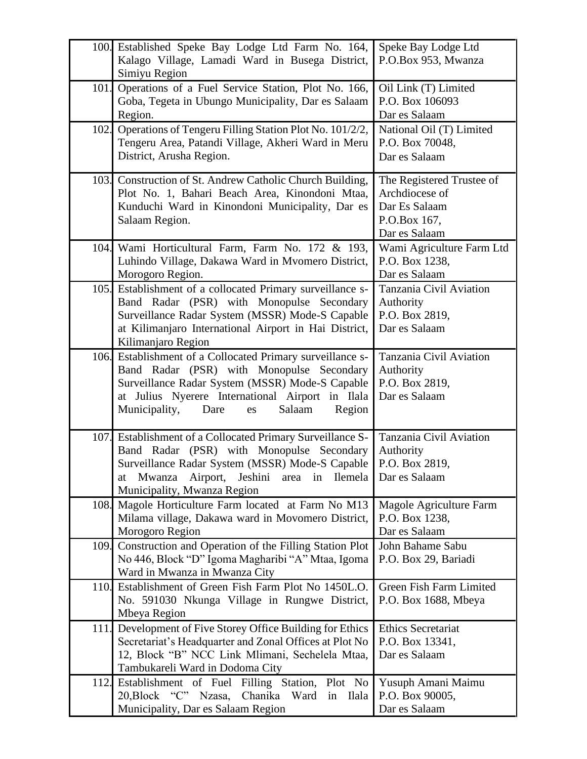|      | 100. Established Speke Bay Lodge Ltd Farm No. 164,<br>Kalago Village, Lamadi Ward in Busega District,<br>Simiyu Region                                                                                                                                            | Speke Bay Lodge Ltd<br>P.O.Box 953, Mwanza                                                    |
|------|-------------------------------------------------------------------------------------------------------------------------------------------------------------------------------------------------------------------------------------------------------------------|-----------------------------------------------------------------------------------------------|
| 101. | Operations of a Fuel Service Station, Plot No. 166,<br>Goba, Tegeta in Ubungo Municipality, Dar es Salaam<br>Region.                                                                                                                                              | Oil Link (T) Limited<br>P.O. Box 106093<br>Dar es Salaam                                      |
| 102. | Operations of Tengeru Filling Station Plot No. 101/2/2,<br>Tengeru Area, Patandi Village, Akheri Ward in Meru<br>District, Arusha Region.                                                                                                                         | National Oil (T) Limited<br>P.O. Box 70048,<br>Dar es Salaam                                  |
|      | 103. Construction of St. Andrew Catholic Church Building,<br>Plot No. 1, Bahari Beach Area, Kinondoni Mtaa,<br>Kunduchi Ward in Kinondoni Municipality, Dar es<br>Salaam Region.                                                                                  | The Registered Trustee of<br>Archdiocese of<br>Dar Es Salaam<br>P.O.Box 167,<br>Dar es Salaam |
|      | 104. Wami Horticultural Farm, Farm No. 172 & 193,<br>Luhindo Village, Dakawa Ward in Mvomero District,<br>Morogoro Region.                                                                                                                                        | Wami Agriculture Farm Ltd<br>P.O. Box 1238,<br>Dar es Salaam                                  |
|      | 105. Establishment of a collocated Primary surveillance s-<br>Band Radar (PSR) with Monopulse Secondary<br>Surveillance Radar System (MSSR) Mode-S Capable<br>at Kilimanjaro International Airport in Hai District,<br>Kilimanjaro Region                         | Tanzania Civil Aviation<br>Authority<br>P.O. Box 2819,<br>Dar es Salaam                       |
|      | 106. Establishment of a Collocated Primary surveillance s-<br>Band Radar (PSR) with Monopulse Secondary<br>Surveillance Radar System (MSSR) Mode-S Capable<br>at Julius Nyerere International Airport in Ilala<br>Municipality,<br>Salaam<br>Dare<br>Region<br>es | Tanzania Civil Aviation<br>Authority<br>P.O. Box 2819,<br>Dar es Salaam                       |
| 107. | Establishment of a Collocated Primary Surveillance S-<br>Band Radar (PSR) with Monopulse Secondary<br>Surveillance Radar System (MSSR) Mode-S Capable<br>Mwanza Airport, Jeshini<br>Ilemela<br>area in<br>at<br>Municipality, Mwanza Region                       | Tanzania Civil Aviation<br>Authority<br>P.O. Box 2819,<br>Dar es Salaam                       |
| 108. | Magole Horticulture Farm located at Farm No M13<br>Milama village, Dakawa ward in Movomero District,<br>Morogoro Region                                                                                                                                           | Magole Agriculture Farm<br>P.O. Box 1238,<br>Dar es Salaam                                    |
| 109. | Construction and Operation of the Filling Station Plot<br>No 446, Block "D" Igoma Magharibi "A" Mtaa, Igoma<br>Ward in Mwanza in Mwanza City                                                                                                                      | John Bahame Sabu<br>P.O. Box 29, Bariadi                                                      |
|      | 110. Establishment of Green Fish Farm Plot No 1450L.O.<br>No. 591030 Nkunga Village in Rungwe District,<br>Mbeya Region                                                                                                                                           | Green Fish Farm Limited<br>P.O. Box 1688, Mbeya                                               |
| 111. | Development of Five Storey Office Building for Ethics<br>Secretariat's Headquarter and Zonal Offices at Plot No<br>12, Block "B" NCC Link Mlimani, Sechelela Mtaa,<br>Tambukareli Ward in Dodoma City                                                             | <b>Ethics Secretariat</b><br>P.O. Box 13341,<br>Dar es Salaam                                 |
| 112. | Establishment of Fuel Filling Station, Plot No<br>20, Block "C" Nzasa,<br>Chanika Ward in Ilala<br>Municipality, Dar es Salaam Region                                                                                                                             | Yusuph Amani Maimu<br>P.O. Box 90005,<br>Dar es Salaam                                        |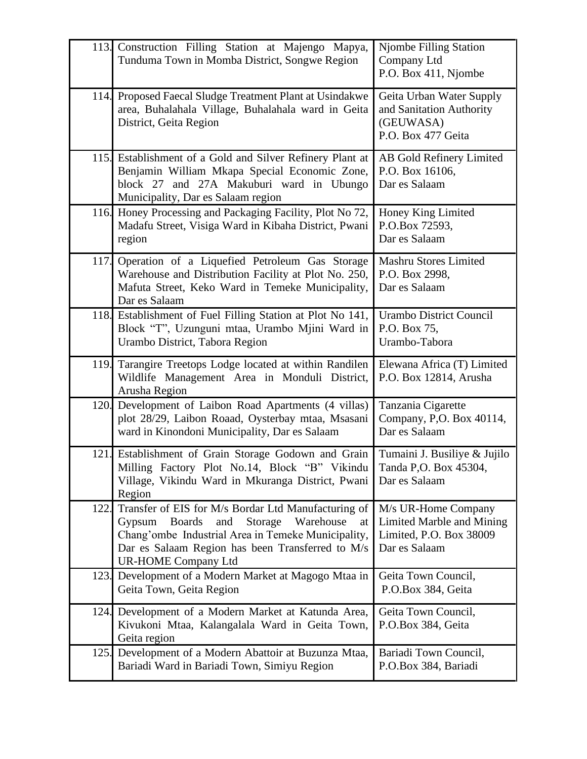|      | 113. Construction Filling Station at Majengo Mapya,<br>Tunduma Town in Momba District, Songwe Region                                                                                                                                                        | <b>Njombe Filling Station</b><br>Company Ltd<br>P.O. Box 411, Njombe                         |
|------|-------------------------------------------------------------------------------------------------------------------------------------------------------------------------------------------------------------------------------------------------------------|----------------------------------------------------------------------------------------------|
|      | 114. Proposed Faecal Sludge Treatment Plant at Usindakwe<br>area, Buhalahala Village, Buhalahala ward in Geita<br>District, Geita Region                                                                                                                    | Geita Urban Water Supply<br>and Sanitation Authority<br>(GEUWASA)<br>P.O. Box 477 Geita      |
|      | 115. Establishment of a Gold and Silver Refinery Plant at<br>Benjamin William Mkapa Special Economic Zone,<br>block 27 and 27A Makuburi ward in Ubungo<br>Municipality, Dar es Salaam region                                                                | AB Gold Refinery Limited<br>P.O. Box 16106,<br>Dar es Salaam                                 |
|      | 116. Honey Processing and Packaging Facility, Plot No 72,<br>Madafu Street, Visiga Ward in Kibaha District, Pwani<br>region                                                                                                                                 | Honey King Limited<br>P.O.Box 72593,<br>Dar es Salaam                                        |
| 117. | Operation of a Liquefied Petroleum Gas Storage<br>Warehouse and Distribution Facility at Plot No. 250,<br>Mafuta Street, Keko Ward in Temeke Municipality,<br>Dar es Salaam                                                                                 | Mashru Stores Limited<br>P.O. Box 2998,<br>Dar es Salaam                                     |
|      | 118. Establishment of Fuel Filling Station at Plot No 141,<br>Block "T", Uzunguni mtaa, Urambo Mjini Ward in<br>Urambo District, Tabora Region                                                                                                              | <b>Urambo District Council</b><br>P.O. Box 75,<br>Urambo-Tabora                              |
| 119. | Tarangire Treetops Lodge located at within Randilen<br>Wildlife Management Area in Monduli District,<br>Arusha Region                                                                                                                                       | Elewana Africa (T) Limited<br>P.O. Box 12814, Arusha                                         |
|      | 120. Development of Laibon Road Apartments (4 villas)<br>plot 28/29, Laibon Roaad, Oysterbay mtaa, Msasani<br>ward in Kinondoni Municipality, Dar es Salaam                                                                                                 | Tanzania Cigarette<br>Company, P,O. Box 40114,<br>Dar es Salaam                              |
| 121. | Establishment of Grain Storage Godown and Grain<br>Milling Factory Plot No.14, Block "B" Vikindu<br>Village, Vikindu Ward in Mkuranga District, Pwani<br>Region                                                                                             | Tumaini J. Busiliye & Jujilo<br>Tanda P, O. Box 45304,<br>Dar es Salaam                      |
| 122. | Transfer of EIS for M/s Bordar Ltd Manufacturing of<br><b>Boards</b><br>Storage<br>Gypsum<br>and<br>Warehouse<br>at<br>Chang'ombe Industrial Area in Temeke Municipality,<br>Dar es Salaam Region has been Transferred to M/s<br><b>UR-HOME Company Ltd</b> | M/s UR-Home Company<br>Limited Marble and Mining<br>Limited, P.O. Box 38009<br>Dar es Salaam |
| 123. | Development of a Modern Market at Magogo Mtaa in<br>Geita Town, Geita Region                                                                                                                                                                                | Geita Town Council,<br>P.O.Box 384, Geita                                                    |
| 124. | Development of a Modern Market at Katunda Area,<br>Kivukoni Mtaa, Kalangalala Ward in Geita Town,<br>Geita region                                                                                                                                           | Geita Town Council,<br>P.O.Box 384, Geita                                                    |
| 125. | Development of a Modern Abattoir at Buzunza Mtaa,<br>Bariadi Ward in Bariadi Town, Simiyu Region                                                                                                                                                            | Bariadi Town Council,<br>P.O.Box 384, Bariadi                                                |